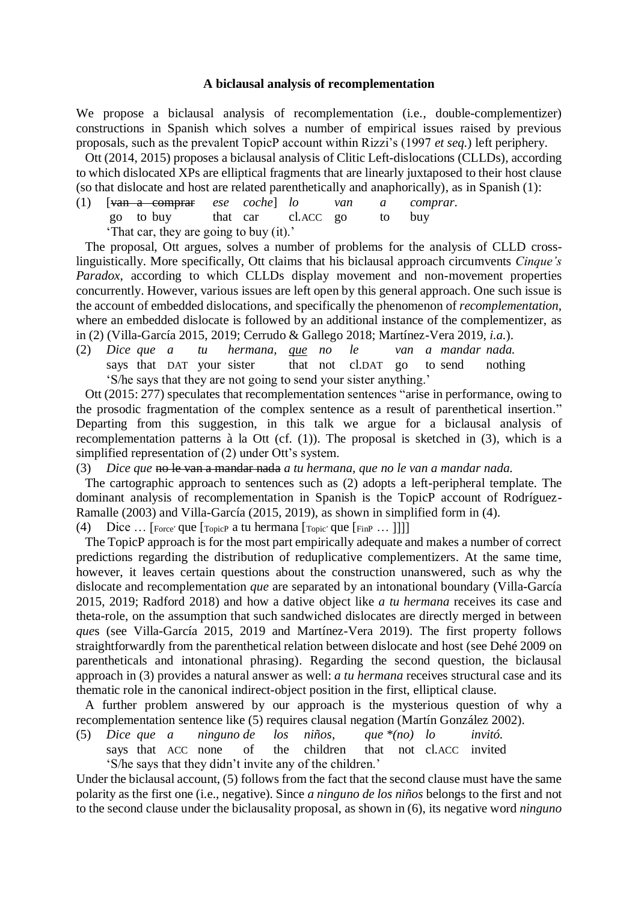## **A biclausal analysis of recomplementation**

We propose a biclausal analysis of recomplementation (i.e., double-complementizer) constructions in Spanish which solves a number of empirical issues raised by previous proposals, such as the prevalent TopicP account within Rizzi's (1997 *et seq.*) left periphery.

Ott (2014, 2015) proposes a biclausal analysis of Clitic Left-dislocations (CLLDs), according to which dislocated XPs are elliptical fragments that are linearly juxtaposed to their host clause (so that dislocate and host are related parenthetically and anaphorically), as in Spanish (1):

(1) [van a comprar *ese coche*] *lo van a comprar.* go to buy that car cl.ACC go to buy

'That car, they are going to buy (it).'

The proposal, Ott argues, solves a number of problems for the analysis of CLLD crosslinguistically. More specifically, Ott claims that his biclausal approach circumvents *Cinque's Paradox*, according to which CLLDs display movement and non-movement properties concurrently. However, various issues are left open by this general approach. One such issue is the account of embedded dislocations, and specifically the phenomenon of *recomplementation*, where an embedded dislocate is followed by an additional instance of the complementizer, as in (2) (Villa-García 2015, 2019; Cerrudo & Gallego 2018; Martínez-Vera 2019, *i.a.*).

(2) *Dice que a tu hermana, que no le van a mandar nada.* says that DAT your sister that not cl.DAT go to send nothing 'S/he says that they are not going to send your sister anything.'

Ott (2015: 277) speculates that recomplementation sentences "arise in performance, owing to the prosodic fragmentation of the complex sentence as a result of parenthetical insertion." Departing from this suggestion, in this talk we argue for a biclausal analysis of recomplementation patterns à la Ott (cf. (1)). The proposal is sketched in (3), which is a simplified representation of (2) under Ott's system.

(3) *Dice que* no le van a mandar nada *a tu hermana, que no le van a mandar nada.*

The cartographic approach to sentences such as (2) adopts a left-peripheral template. The dominant analysis of recomplementation in Spanish is the TopicP account of Rodríguez-Ramalle (2003) and Villa-García (2015, 2019), as shown in simplified form in (4).

(4) Dice … [Force*'* que [TopicP a tu hermana [Topic*'* que [FinP … ]]]]

The TopicP approach is for the most part empirically adequate and makes a number of correct predictions regarding the distribution of reduplicative complementizers. At the same time, however, it leaves certain questions about the construction unanswered, such as why the dislocate and recomplementation *que* are separated by an intonational boundary (Villa-García 2015, 2019; Radford 2018) and how a dative object like *a tu hermana* receives its case and theta-role, on the assumption that such sandwiched dislocates are directly merged in between *que*s (see Villa-García 2015, 2019 and Martínez-Vera 2019). The first property follows straightforwardly from the parenthetical relation between dislocate and host (see Dehé 2009 on parentheticals and intonational phrasing). Regarding the second question, the biclausal approach in (3) provides a natural answer as well: *a tu hermana* receives structural case and its thematic role in the canonical indirect-object position in the first, elliptical clause.

A further problem answered by our approach is the mysterious question of why a recomplementation sentence like (5) requires clausal negation (Martín González 2002).

(5) *Dice que a ninguno de los niños, que \*(no) lo invitó.* says that ACC none of the children that not cl.ACC invited 'S/he says that they didn't invite any of the children.'

Under the biclausal account, (5) follows from the fact that the second clause must have the same polarity as the first one (i.e., negative). Since *a ninguno de los niños* belongs to the first and not to the second clause under the biclausality proposal, as shown in (6), its negative word *ninguno*